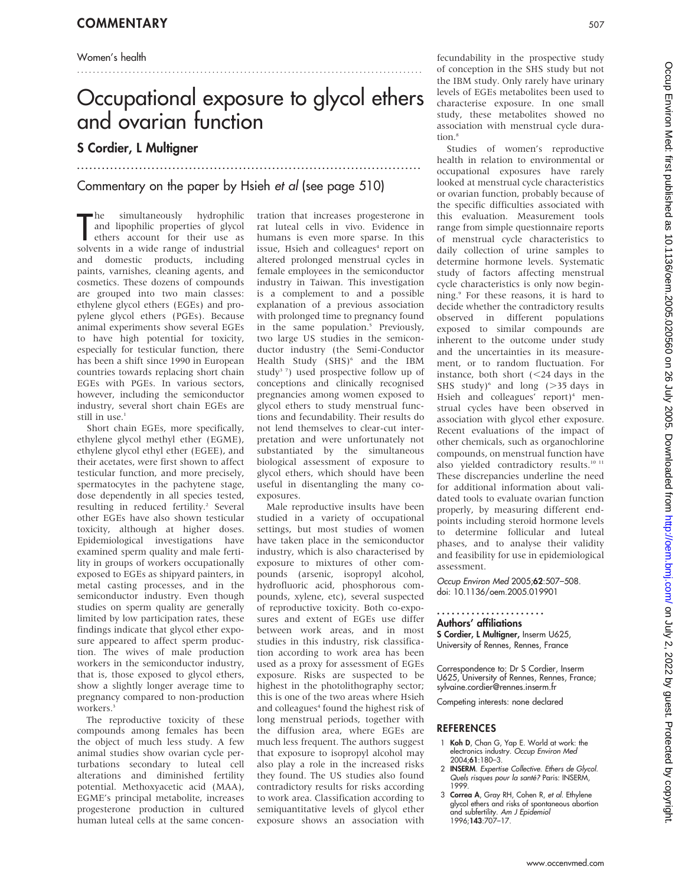### Women's health

# Occupational exposure to glycol ethers and ovarian function

...................................................................................

.......................................................................................

# S Cordier, L Multigner

## Commentary on the paper by Hsieh et al (see page 510)

The simultaneously hydrophilic<br>and lipophilic properties of glycol<br>ethers account for their use as<br>solvents in a wide range of industrial he simultaneously hydrophilic and lipophilic properties of glycol ethers account for their use as and domestic products, including paints, varnishes, cleaning agents, and cosmetics. These dozens of compounds are grouped into two main classes: ethylene glycol ethers (EGEs) and propylene glycol ethers (PGEs). Because animal experiments show several EGEs to have high potential for toxicity, especially for testicular function, there has been a shift since 1990 in European countries towards replacing short chain EGEs with PGEs. In various sectors, however, including the semiconductor industry, several short chain EGEs are still in use.<sup>1</sup>

Short chain EGEs, more specifically, ethylene glycol methyl ether (EGME), ethylene glycol ethyl ether (EGEE), and their acetates, were first shown to affect testicular function, and more precisely, spermatocytes in the pachytene stage, dose dependently in all species tested, resulting in reduced fertility.<sup>2</sup> Several other EGEs have also shown testicular toxicity, although at higher doses. Epidemiological investigations have examined sperm quality and male fertility in groups of workers occupationally exposed to EGEs as shipyard painters, in metal casting processes, and in the semiconductor industry. Even though studies on sperm quality are generally limited by low participation rates, these findings indicate that glycol ether exposure appeared to affect sperm production. The wives of male production workers in the semiconductor industry, that is, those exposed to glycol ethers, show a slightly longer average time to pregnancy compared to non-production workers.<sup>3</sup>

The reproductive toxicity of these compounds among females has been the object of much less study. A few animal studies show ovarian cycle perturbations secondary to luteal cell alterations and diminished fertility potential. Methoxyacetic acid (MAA), EGME's principal metabolite, increases progesterone production in cultured human luteal cells at the same concentration that increases progesterone in rat luteal cells in vivo. Evidence in humans is even more sparse. In this issue, Hsieh and colleagues<sup>4</sup> report on altered prolonged menstrual cycles in female employees in the semiconductor industry in Taiwan. This investigation is a complement to and a possible explanation of a previous association with prolonged time to pregnancy found in the same population.<sup>5</sup> Previously, two large US studies in the semiconductor industry (the Semi-Conductor Health Study (SHS)<sup>6</sup> and the IBM study<sup>3-7</sup>) used prospective follow up of conceptions and clinically recognised pregnancies among women exposed to glycol ethers to study menstrual functions and fecundability. Their results do not lend themselves to clear-cut interpretation and were unfortunately not substantiated by the simultaneous biological assessment of exposure to glycol ethers, which should have been useful in disentangling the many coexposures.

Male reproductive insults have been studied in a variety of occupational settings, but most studies of women have taken place in the semiconductor industry, which is also characterised by exposure to mixtures of other compounds (arsenic, isopropyl alcohol, hydrofluoric acid, phosphorous compounds, xylene, etc), several suspected of reproductive toxicity. Both co-exposures and extent of EGEs use differ between work areas, and in most studies in this industry, risk classification according to work area has been used as a proxy for assessment of EGEs exposure. Risks are suspected to be highest in the photolithography sector; this is one of the two areas where Hsieh and colleagues<sup>4</sup> found the highest risk of long menstrual periods, together with the diffusion area, where EGEs are much less frequent. The authors suggest that exposure to isopropyl alcohol may also play a role in the increased risks they found. The US studies also found contradictory results for risks according to work area. Classification according to semiquantitative levels of glycol ether exposure shows an association with

fecundability in the prospective study of conception in the SHS study but not the IBM study. Only rarely have urinary levels of EGEs metabolites been used to characterise exposure. In one small study, these metabolites showed no association with menstrual cycle duration<sup>8</sup>

Studies of women's reproductive health in relation to environmental or occupational exposures have rarely looked at menstrual cycle characteristics or ovarian function, probably because of the specific difficulties associated with this evaluation. Measurement tools range from simple questionnaire reports of menstrual cycle characteristics to daily collection of urine samples to determine hormone levels. Systematic study of factors affecting menstrual cycle characteristics is only now beginning.9 For these reasons, it is hard to decide whether the contradictory results observed in different populations exposed to similar compounds are inherent to the outcome under study and the uncertainties in its measurement, or to random fluctuation. For instance, both short  $\langle$  <24 days in the SHS study) $^6$  and long ( $>$ 35 days in Hsieh and colleagues' report)<sup>4</sup> menstrual cycles have been observed in association with glycol ether exposure. Recent evaluations of the impact of other chemicals, such as organochlorine compounds, on menstrual function have also yielded contradictory results.10 11 These discrepancies underline the need for additional information about validated tools to evaluate ovarian function properly, by measuring different endpoints including steroid hormone levels to determine follicular and luteal phases, and to analyse their validity and feasibility for use in epidemiological assessment.

Occup Environ Med 2005;62:507–508. doi: 10.1136/oem.2005.019901

Authors' affiliations ...................... S Cordier, L Multigner, Inserm U625, University of Rennes, Rennes, France

Correspondence to: Dr S Cordier, Inserm U625, University of Rennes, Rennes, France; sylvaine.cordier@rennes.inserm.fr

Competing interests: none declared

### REFERENCES

- 1 Koh D, Chan G, Yap E. World at work: the electronics industry. Occup Environ Med 2004;61:180–3.
- 2 **INSERM**. Expertise Collective. Ethers de Glycol. Quels risques pour la santé? Paris: INSERM, 1999.
- 3 Correa A, Gray RH, Cohen R, et al. Ethylene glycol ethers and risks of spontaneous abortion and subfertility. Am J Epidemiol 1996;143:707–17.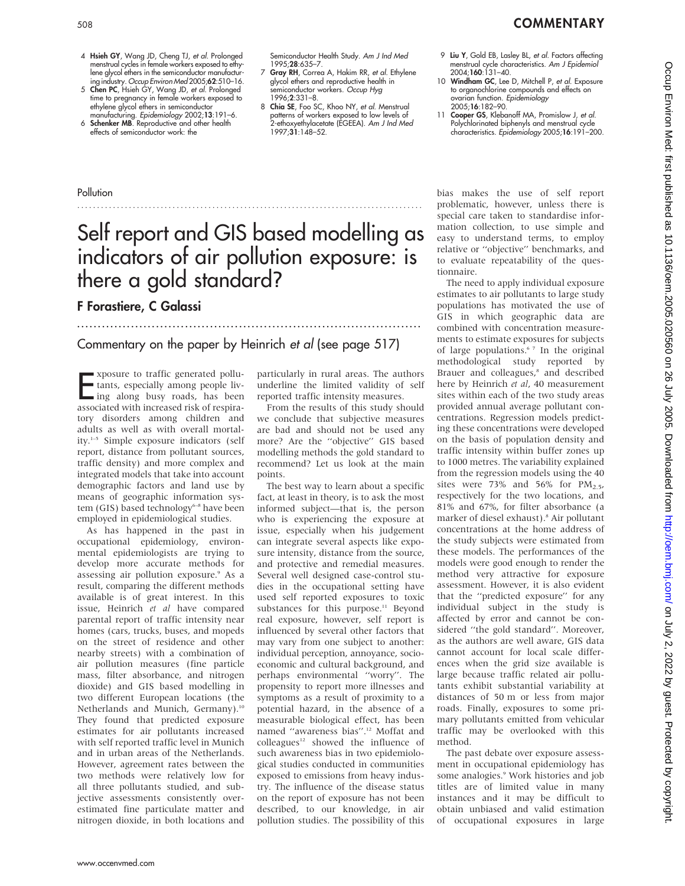- 4 Hsieh GY, Wang JD, Cheng TJ, et al. Prolonged menstrual cycles in female workers exposed to ethylene glycol ethers in the semiconductor manufactur-
- ing industry. Occup Environ Med 2005;62:510–16. 5 Chen PC, Hsieh GY, Wang JD, et al. Prolonged time to pregnancy in female workers exposed to ethylene glycol ethers in semiconductor
- manufacturing. Epidemiology 2002;13:191–6. 6 Schenker MB. Reproductive and other health effects of semiconductor work: the

#### Semiconductor Health Study. Am J Ind Med 1995;28:635–7.

- 7 Gray RH, Correa A, Hakim RR, et al. Ethylene glycol ethers and reproductive health in semiconductor workers. Occup Hyg 1996;2:331–8.
- 8 Chia SE, Foo SC, Khoo NY, et al. Menstrual patterns of workers exposed to low levels of .<br>2-ethoxyethylacetate (EGEEA). *Am J Ind Med* 1997;31:148–52.
- 9 Liu Y, Gold EB, Lasley BL, et al. Factors affecting menstrual cycle characteristics. Am J Epidemiol 2004;160:131–40.
- 10 Windham GC, Lee D, Mitchell P, et al. Exposure to organochlorine compounds and effects on<br>ovarian function. *Epidemiology*
- 2005;16:182–90. 11 Cooper GS, Klebanoff MA, Promislow J, et al. Polychlorinated biphenyls and menstrual cycle characteristics. Epidemiology 2005;16:191–200.

### **Pollution**

# Self report and GIS based modelling as indicators of air pollution exposure: is there a gold standard?

.......................................................................................

## F Forastiere, C Galassi

...................................................................................

## Commentary on the paper by Heinrich et al (see page 517)

Exposure to traffic generated pollu-<br>tants, especially among people liv-<br>ing along busy roads, has been<br>associated with increased risk of respiraxposure to traffic generated pollutants, especially among people living along busy roads, has been tory disorders among children and adults as well as with overall mortality.1–5 Simple exposure indicators (self report, distance from pollutant sources, traffic density) and more complex and integrated models that take into account demographic factors and land use by means of geographic information system (GIS) based technology<sup>6–8</sup> have been employed in epidemiological studies.

As has happened in the past in occupational epidemiology, environmental epidemiologists are trying to develop more accurate methods for assessing air pollution exposure.<sup>9</sup> As a result, comparing the different methods available is of great interest. In this issue, Heinrich et al have compared parental report of traffic intensity near homes (cars, trucks, buses, and mopeds on the street of residence and other nearby streets) with a combination of air pollution measures (fine particle mass, filter absorbance, and nitrogen dioxide) and GIS based modelling in two different European locations (the Netherlands and Munich, Germany).<sup>10</sup> They found that predicted exposure estimates for air pollutants increased with self reported traffic level in Munich and in urban areas of the Netherlands. However, agreement rates between the two methods were relatively low for all three pollutants studied, and subjective assessments consistently overestimated fine particulate matter and nitrogen dioxide, in both locations and

particularly in rural areas. The authors underline the limited validity of self reported traffic intensity measures.

From the results of this study should we conclude that subjective measures are bad and should not be used any more? Are the ''objective'' GIS based modelling methods the gold standard to recommend? Let us look at the main points.

The best way to learn about a specific fact, at least in theory, is to ask the most informed subject—that is, the person who is experiencing the exposure at issue, especially when his judgement can integrate several aspects like exposure intensity, distance from the source, and protective and remedial measures. Several well designed case-control studies in the occupational setting have used self reported exposures to toxic substances for this purpose.<sup>11</sup> Beyond real exposure, however, self report is influenced by several other factors that may vary from one subject to another: individual perception, annoyance, socioeconomic and cultural background, and perhaps environmental ''worry''. The propensity to report more illnesses and symptoms as a result of proximity to a potential hazard, in the absence of a measurable biological effect, has been named ''awareness bias''.12 Moffat and colleagues<sup>12</sup> showed the influence of such awareness bias in two epidemiological studies conducted in communities exposed to emissions from heavy industry. The influence of the disease status on the report of exposure has not been described, to our knowledge, in air pollution studies. The possibility of this

bias makes the use of self report problematic, however, unless there is special care taken to standardise information collection, to use simple and easy to understand terms, to employ relative or ''objective'' benchmarks, and to evaluate repeatability of the questionnaire.

The need to apply individual exposure estimates to air pollutants to large study populations has motivated the use of GIS in which geographic data are combined with concentration measurements to estimate exposures for subjects of large populations.<sup>67</sup> In the original methodological study reported by Brauer and colleagues,<sup>8</sup> and described here by Heinrich et al, 40 measurement sites within each of the two study areas provided annual average pollutant concentrations. Regression models predicting these concentrations were developed on the basis of population density and traffic intensity within buffer zones up to 1000 metres. The variability explained from the regression models using the 40 sites were 73% and 56% for  $PM_{2.5}$ , respectively for the two locations, and 81% and 67%, for filter absorbance (a marker of diesel exhaust).8 Air pollutant concentrations at the home address of the study subjects were estimated from these models. The performances of the models were good enough to render the method very attractive for exposure assessment. However, it is also evident that the ''predicted exposure'' for any individual subject in the study is affected by error and cannot be considered ''the gold standard''. Moreover, as the authors are well aware, GIS data cannot account for local scale differences when the grid size available is large because traffic related air pollutants exhibit substantial variability at distances of 50 m or less from major roads. Finally, exposures to some primary pollutants emitted from vehicular traffic may be overlooked with this method.

The past debate over exposure assessment in occupational epidemiology has some analogies.<sup>9</sup> Work histories and job titles are of limited value in many instances and it may be difficult to obtain unbiased and valid estimation of occupational exposures in large